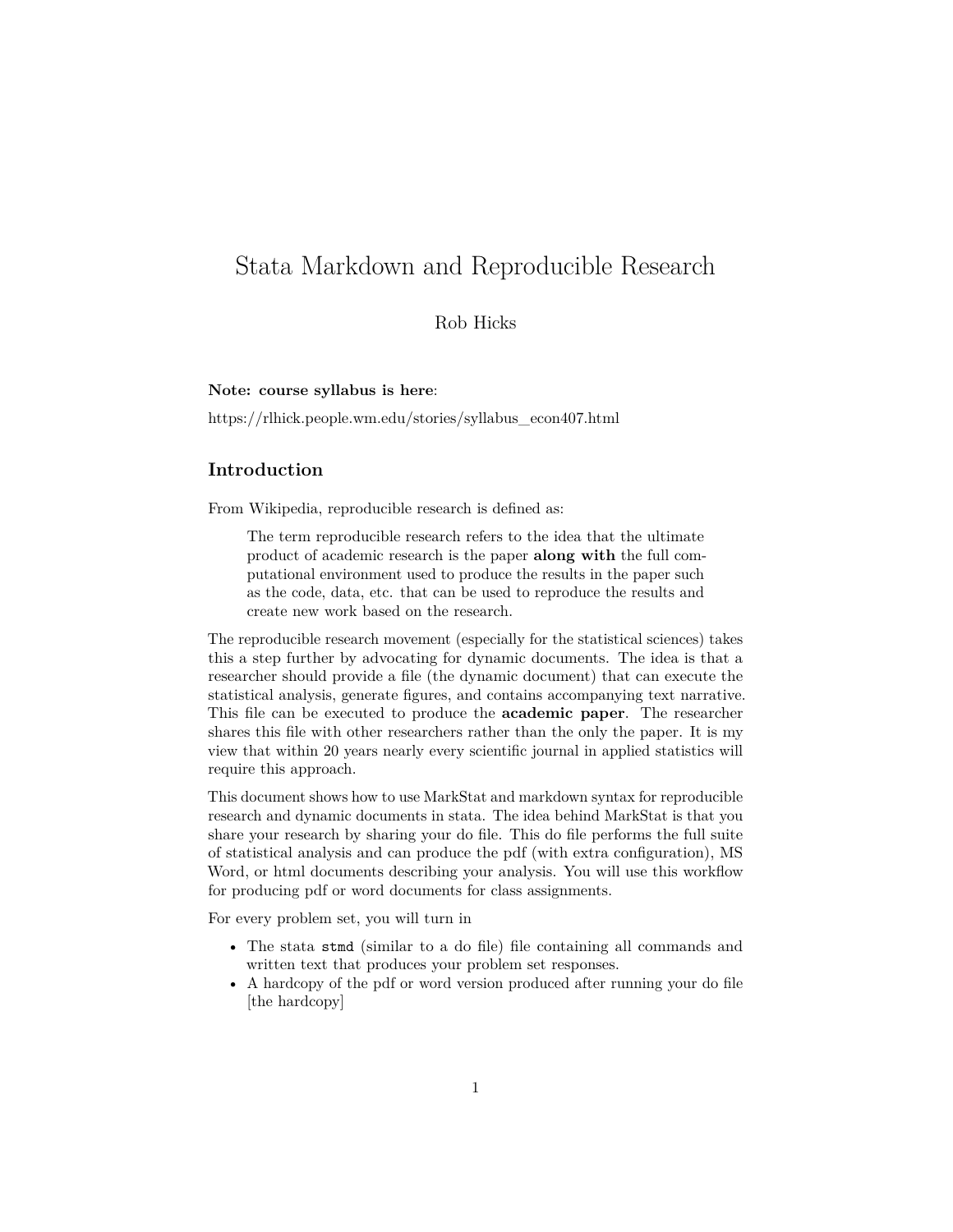# Stata Markdown and Reproducible Research

## Rob Hicks

**Note: course syllabus is here**:

[https://rlhick.people.wm.edu/stories/syllabus\\_econ407.html](https://rlhick.people.wm.edu/stories/syllabus_econ407.html)

## **Introduction**

From [Wikipedia,](https://en.wikipedia.org/wiki/Reproducibility#%20Reproducible_research) reproducible research is defined as:

The term reproducible research refers to the idea that the ultimate product of academic research is the paper **along with** the full computational environment used to produce the results in the paper such as the code, data, etc. that can be used to reproduce the results and create new work based on the research.

The reproducible research movement (especially for the statistical sciences) takes this a step further by advocating for dynamic documents. The idea is that a researcher should provide a file (the dynamic document) that can execute the statistical analysis, generate figures, and contains accompanying text narrative. This file can be executed to produce the **academic paper**. The researcher shares this file with other researchers rather than the only the paper. It is my view that within 20 years nearly every scientific journal in applied statistics will require this approach.

This document shows how to use [MarkStat](http://data.princeton.edu/stata/markdown/) and markdown syntax for reproducible research and dynamic documents in stata. The idea behind MarkStat is that you share your research by sharing your do file. This do file performs the full suite of statistical analysis and can produce the pdf (with extra configuration), MS Word, or html documents describing your analysis. You will use this workflow for producing pdf or word documents for class assignments.

For every problem set, you will turn in

- The stata stmd (similar to a do file) file containing all commands and written text that produces your problem set responses.
- A hardcopy of the pdf or word version produced after running your do file [the hardcopy]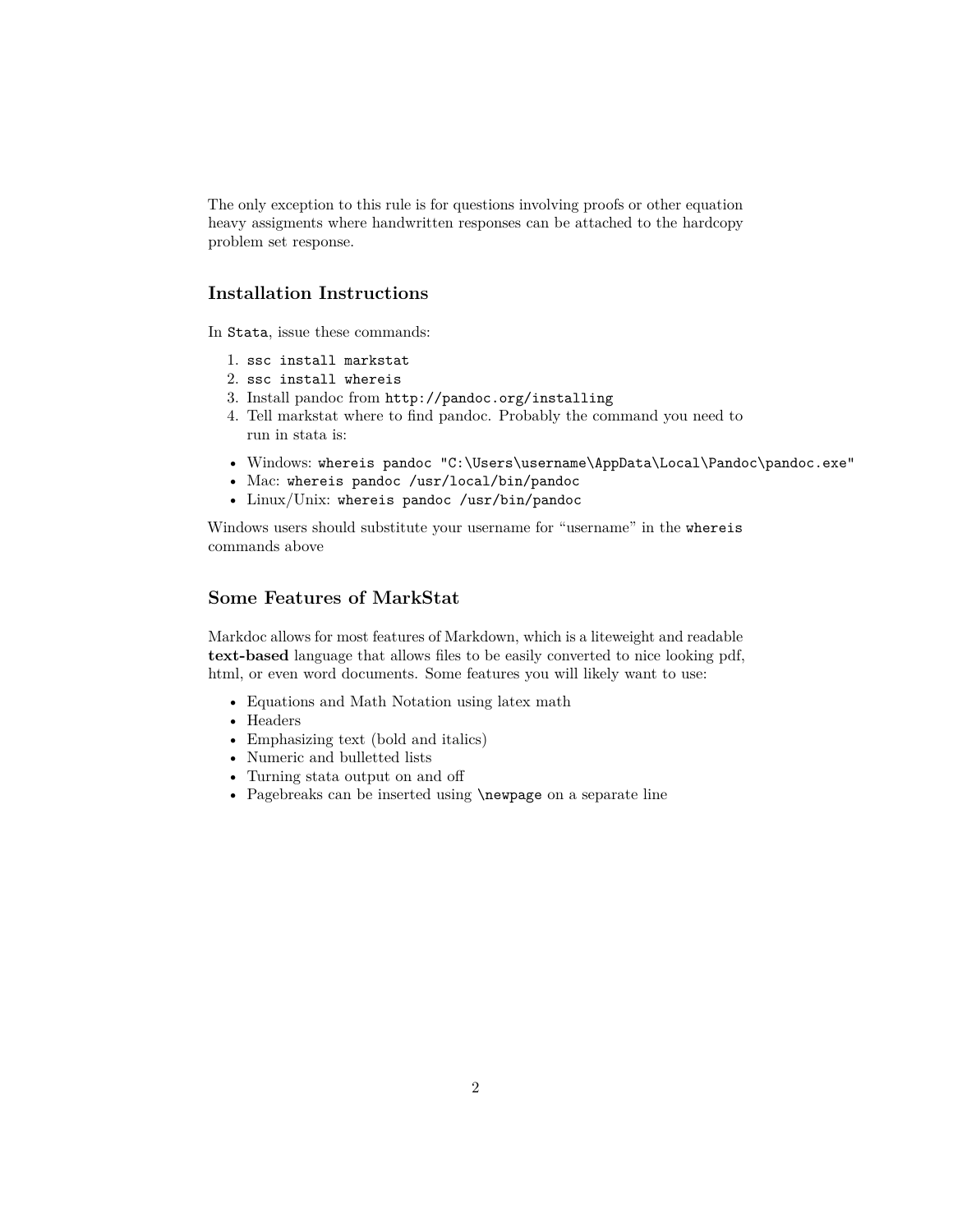The only exception to this rule is for questions involving proofs or other equation heavy assigments where handwritten responses can be attached to the hardcopy problem set response.

### **Installation Instructions**

In Stata, issue these commands:

- 1. ssc install markstat
- 2. ssc install whereis
- 3. Install pandoc from http://pandoc.org/installing
- 4. Tell markstat where to find pandoc. Probably the command you need to run in stata is:
- Windows: whereis pandoc "C:\Users\username\AppData\Local\Pandoc\pandoc.exe"
- Mac: whereis pandoc /usr/local/bin/pandoc
- Linux/Unix: whereis pandoc /usr/bin/pandoc

Windows users should substitute your username for "username" in the whereis commands above

## **Some Features of MarkStat**

Markdoc allows for most features of [Markdown,](https://daringfireball.net/projects/markdown/syntax) which is a liteweight and readable **text-based** language that allows files to be easily converted to nice looking pdf, html, or even word documents. Some features you will likely want to use:

- Equations and Math Notation using latex math
- Headers
- Emphasizing text (bold and italics)
- Numeric and bulletted lists
- Turning stata output on and off
- Pagebreaks can be inserted using \newpage on a separate line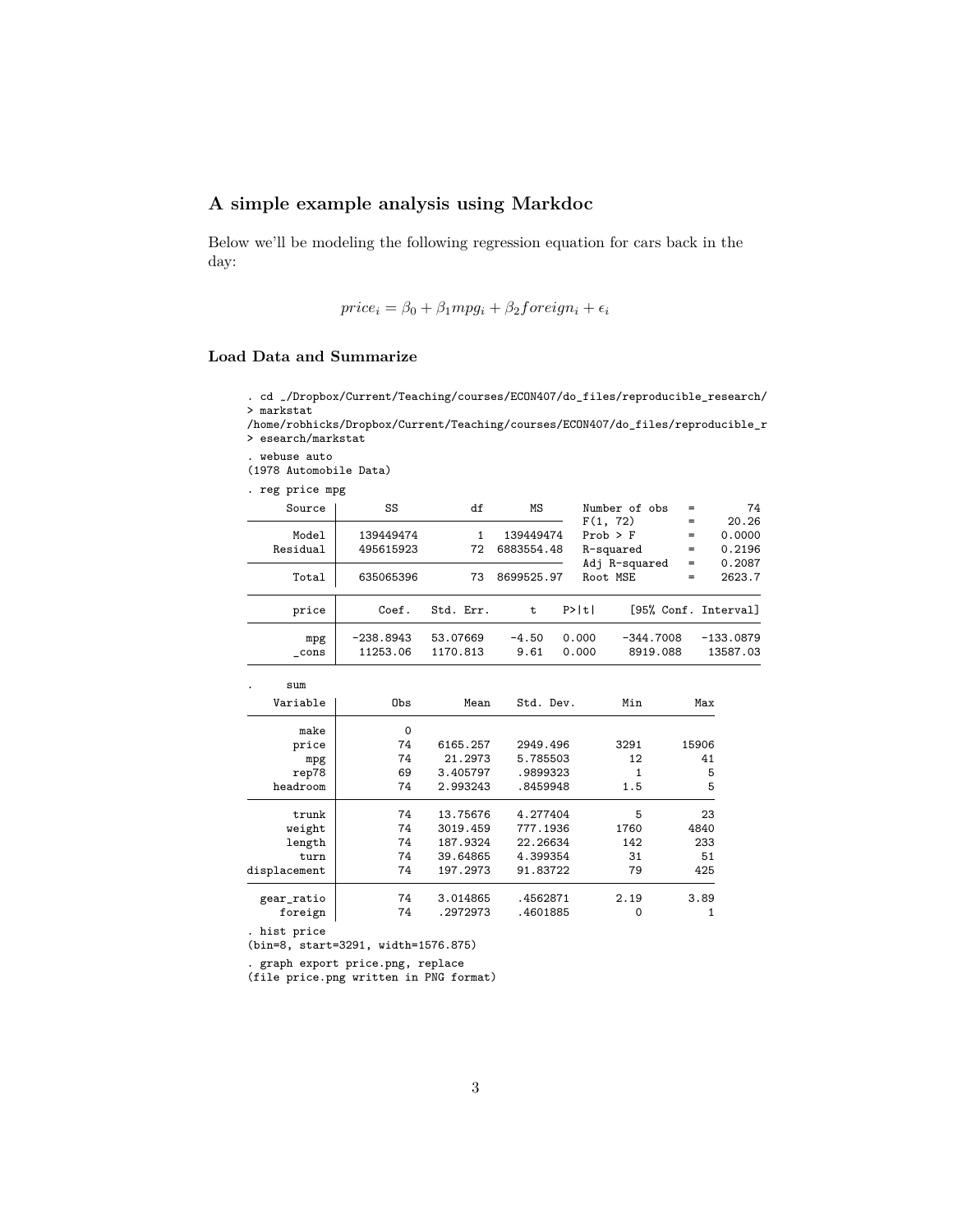## **A simple example analysis using Markdoc**

Below we'll be modeling the following regression equation for cars back in the day:

$$
price_i = \beta_0 + \beta_1 mpg_i + \beta_2 foreign_i + \epsilon_i
$$

#### **Load Data and Summarize**

- . cd /Dropbox/Current/Teaching/courses/ECON407/do\_files/reproducible\_research/ > markstat
- /home/robhicks/Dropbox/Current/Teaching/courses/ECON407/do\_files/reproducible\_r > esearch/markstat
- . webuse auto

(1978 Automobile Data)

. reg price mpg

| Source            | SS                      | df                   | MS                      |                | Number of obs<br>F(1, 72)<br>$Prob$ > $F$<br>R-squared |            | 74                        |
|-------------------|-------------------------|----------------------|-------------------------|----------------|--------------------------------------------------------|------------|---------------------------|
| Model<br>Residual | 139449474<br>495615923  | 72                   | 139449474<br>6883554.48 |                |                                                        |            | 20.26<br>0.0000<br>0.2196 |
| Total             | 635065396               | 73                   | 8699525.97              | Root MSE       | Adj R-squared                                          | $=$<br>$=$ | 0.2087<br>2623.7          |
| price             | Coef.                   | Std. Err.            | t                       | P>  t          |                                                        |            | [95% Conf. Interval]      |
| mpg<br>cons       | $-238.8943$<br>11253.06 | 53.07669<br>1170.813 | $-4.50$<br>9.61         | 0.000<br>0.000 | $-344.7008$<br>8919.088                                |            | $-133.0879$<br>13587.03   |

| sum          |          |          |           |      |       |
|--------------|----------|----------|-----------|------|-------|
| Variable     | Obs      | Mean     | Std. Dev. | Min  | Max   |
| make         | $\Omega$ |          |           |      |       |
| price        | 74       | 6165.257 | 2949.496  | 3291 | 15906 |
| mpg          | 74       | 21.2973  | 5.785503  | 12   | 41    |
| rep78        | 69       | 3.405797 | .9899323  |      | 5     |
| headroom     | 74       | 2.993243 | .8459948  | 1.5  | 5     |
| trunk        | 74       | 13.75676 | 4.277404  | 5    | 23    |
| weight       | 74       | 3019.459 | 777.1936  | 1760 | 4840  |
| length       | 74       | 187.9324 | 22.26634  | 142  | 233   |
| turn         | 74       | 39.64865 | 4.399354  | 31   | 51    |
| displacement | 74       | 197.2973 | 91.83722  | 79   | 425   |
| gear_ratio   | 74       | 3.014865 | .4562871  | 2.19 | 3.89  |
| foreign      | 74       | .2972973 | .4601885  | 0    |       |

. hist price

(bin=8, start=3291, width=1576.875)

. graph export price.png, replace

(file price.png written in PNG format)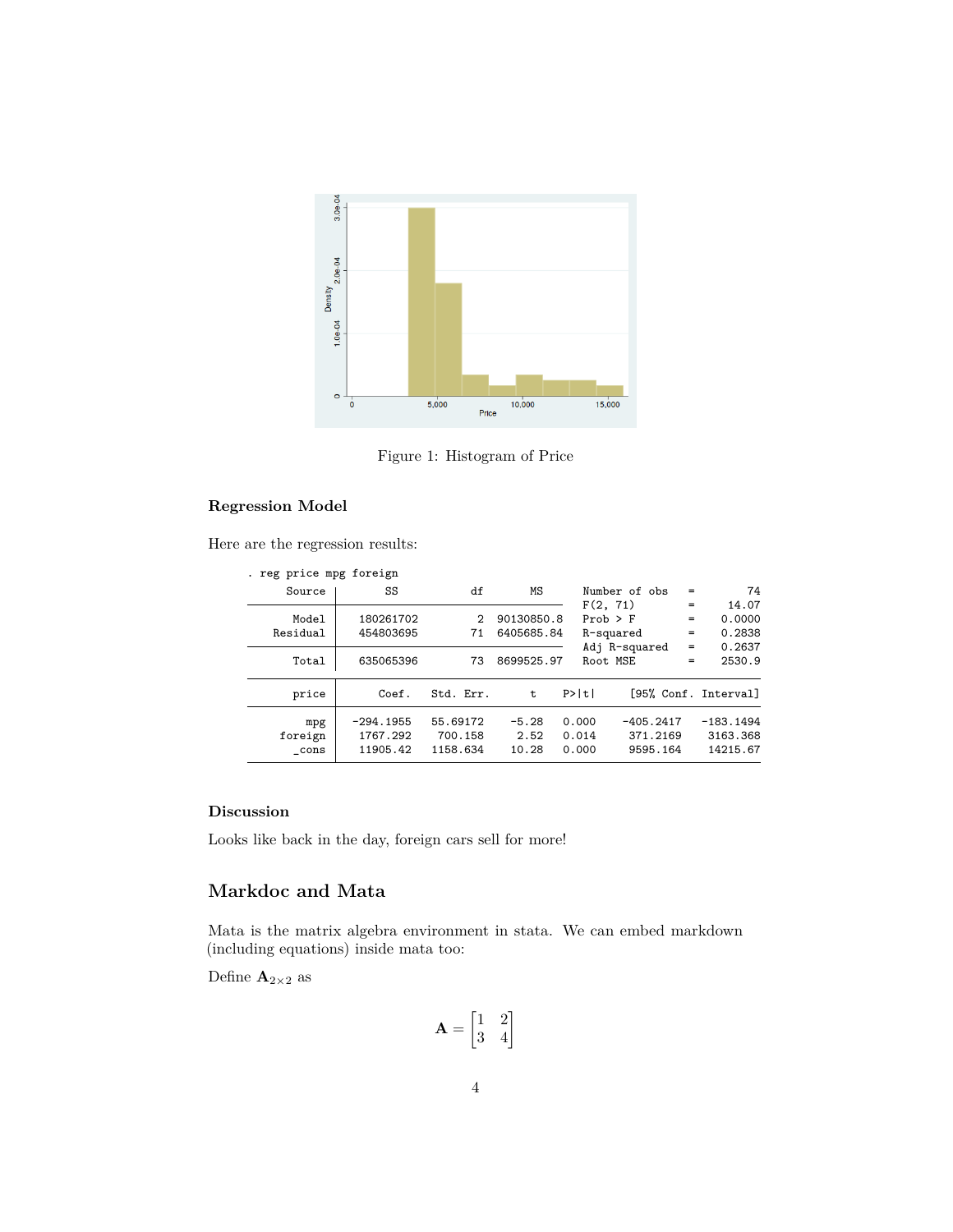

Figure 1: Histogram of Price

#### **Regression Model**

Here are the regression results:

|          |             | reg price mpg foreign               |                                 |                          |                         |                                     |     |                                     |
|----------|-------------|-------------------------------------|---------------------------------|--------------------------|-------------------------|-------------------------------------|-----|-------------------------------------|
| Source   |             | SS                                  | df                              | ΜS                       |                         | Number of obs                       | =   | 74                                  |
|          |             |                                     |                                 |                          |                         | F(2, 71)                            | $=$ | 14.07                               |
|          | Model       | 180261702                           | 2                               | 90130850.8               |                         | $Prob$ > $F$                        | $=$ | 0.0000                              |
| Residual |             | 454803695                           | 71                              | 6405685.84               |                         | R-squared                           | $=$ | 0.2838                              |
|          |             |                                     |                                 |                          |                         | Adj R-squared                       | $=$ | 0.2637                              |
|          | Total       | 635065396                           | 73                              | 8699525.97               |                         | Root MSE                            | $=$ | 2530.9                              |
|          | price       | Coef.                               | Std. Err.                       | t                        | P>  t                   |                                     |     | [95% Conf. Interval]                |
| foreign  | mpg<br>cons | $-294.1955$<br>1767.292<br>11905.42 | 55.69172<br>700.158<br>1158.634 | $-5.28$<br>2.52<br>10.28 | 0.000<br>0.014<br>0.000 | $-405.2417$<br>371.2169<br>9595.164 |     | $-183.1494$<br>3163.368<br>14215.67 |

#### **Discussion**

Looks like back in the day, foreign cars sell for more!

## **Markdoc and Mata**

Mata is the matrix algebra environment in stata. We can embed markdown (including equations) inside mata too:

Define  $\mathbf{A}_{2\times 2}$  as

$$
\mathbf{A} = \begin{bmatrix} 1 & 2 \\ 3 & 4 \end{bmatrix}
$$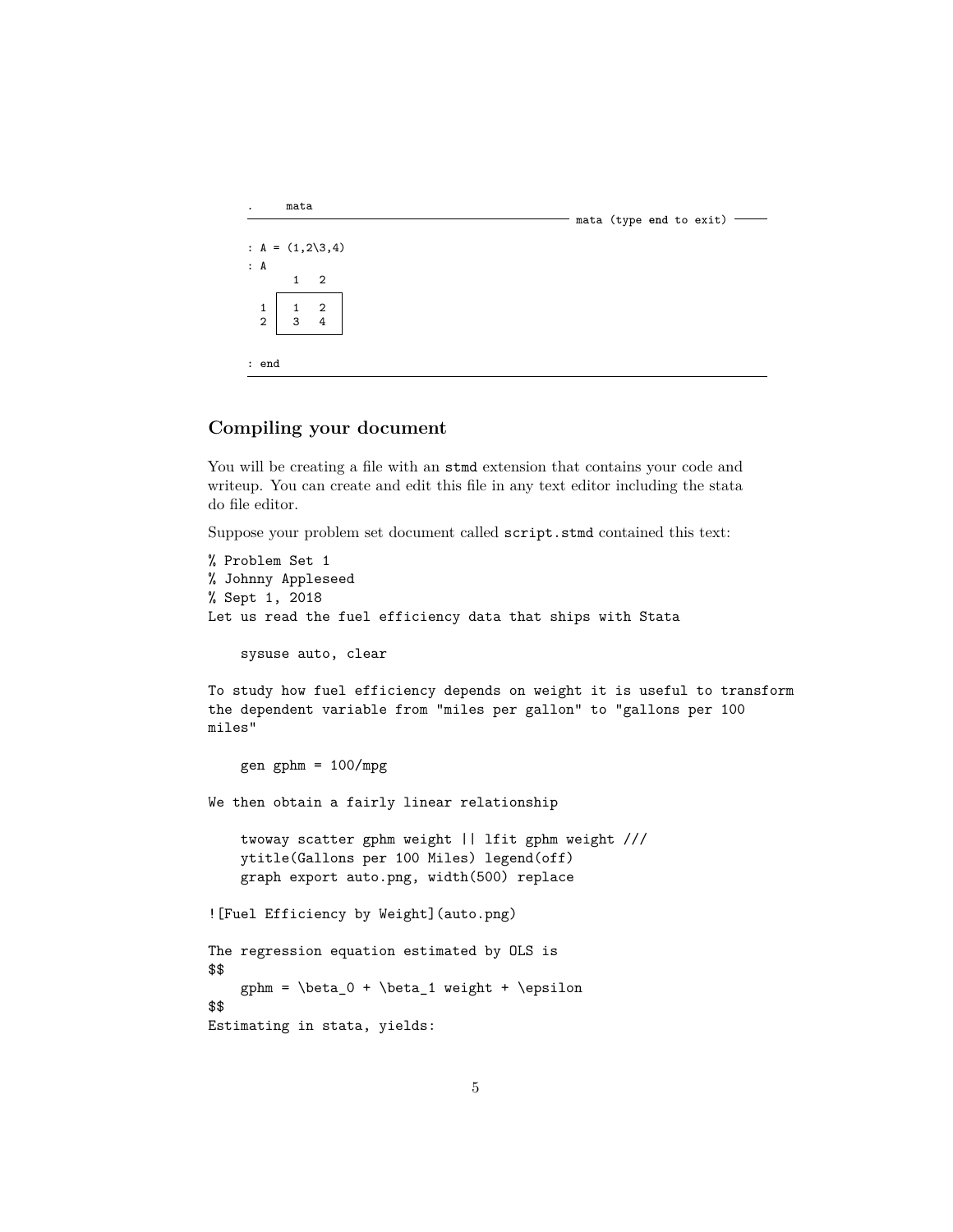```
. mata
                                                                                - mata (type end to exit) --
: A = (1, 2\sqrt{3}, 4): A
           1 2
   \begin{array}{c|cc} 1 & 1 & 2 \\ 2 & 3 & 4 \end{array}3
: end
```
## **Compiling your document**

You will be creating a file with an stmd extension that contains your code and writeup. You can create and edit this file in any text editor including the stata do file editor.

Suppose your problem set document called script.stmd contained this text:

```
% Problem Set 1
% Johnny Appleseed
% Sept 1, 2018
Let us read the fuel efficiency data that ships with Stata
    sysuse auto, clear
To study how fuel efficiency depends on weight it is useful to transform
the dependent variable from "miles per gallon" to "gallons per 100
miles"
    gen gphm = 100/\text{mpg}We then obtain a fairly linear relationship
    twoway scatter gphm weight || lfit gphm weight ///
    ytitle(Gallons per 100 Miles) legend(off)
   graph export auto.png, width(500) replace
![Fuel Efficiency by Weight](auto.png)
The regression equation estimated by OLS is
$$
    gphm = \beta_0 + \beta_1 weight + \epsilon
$$
Estimating in stata, yields:
```